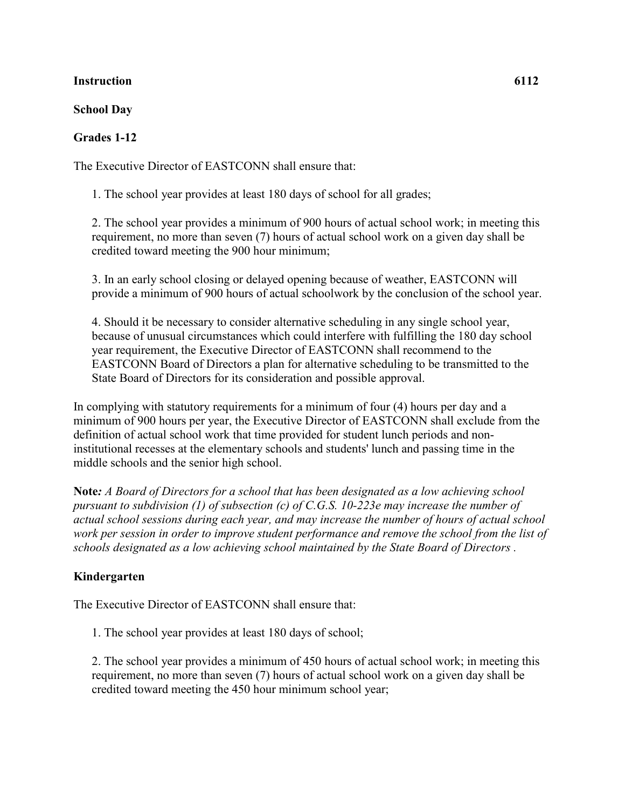## **Instruction 6112**

## **School Day**

## **Grades 1-12**

The Executive Director of EASTCONN shall ensure that:

1. The school year provides at least 180 days of school for all grades;

2. The school year provides a minimum of 900 hours of actual school work; in meeting this requirement, no more than seven (7) hours of actual school work on a given day shall be credited toward meeting the 900 hour minimum;

3. In an early school closing or delayed opening because of weather, EASTCONN will provide a minimum of 900 hours of actual schoolwork by the conclusion of the school year.

4. Should it be necessary to consider alternative scheduling in any single school year, because of unusual circumstances which could interfere with fulfilling the 180 day school year requirement, the Executive Director of EASTCONN shall recommend to the EASTCONN Board of Directors a plan for alternative scheduling to be transmitted to the State Board of Directors for its consideration and possible approval.

In complying with statutory requirements for a minimum of four (4) hours per day and a minimum of 900 hours per year, the Executive Director of EASTCONN shall exclude from the definition of actual school work that time provided for student lunch periods and noninstitutional recesses at the elementary schools and students' lunch and passing time in the middle schools and the senior high school.

**Note***: A Board of Directors for a school that has been designated as a low achieving school pursuant to subdivision (1) of subsection (c) of C.G.S. 10-223e may increase the number of actual school sessions during each year, and may increase the number of hours of actual school work per session in order to improve student performance and remove the school from the list of schools designated as a low achieving school maintained by the State Board of Directors .*

## **Kindergarten**

The Executive Director of EASTCONN shall ensure that:

1. The school year provides at least 180 days of school;

2. The school year provides a minimum of 450 hours of actual school work; in meeting this requirement, no more than seven (7) hours of actual school work on a given day shall be credited toward meeting the 450 hour minimum school year;